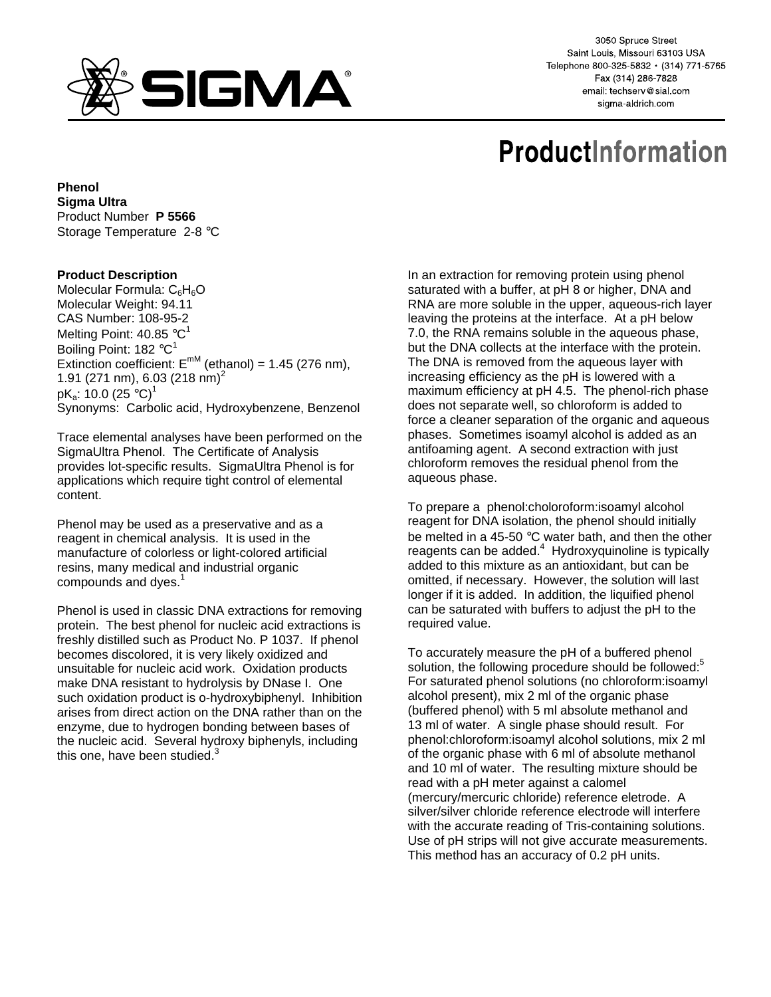

3050 Spruce Street Saint Louis, Missouri 63103 USA Telephone 800-325-5832 · (314) 771-5765 Fax (314) 286-7828 email: techserv@sial.com sigma-aldrich.com

# **ProductInformation**

**Phenol Sigma Ultra**  Product Number **P 5566** Storage Temperature 2-8 °C

# **Product Description**

Molecular Formula:  $C_6H_6O$ Molecular Weight: 94.11 CAS Number: 108-95-2 Melting Point: 40.85 °C<sup>1</sup> Boiling Point:  $182 °C<sup>1</sup>$ Extinction coefficient:  $E^{mM}$  (ethanol) = 1.45 (276 nm), 1.91 (271 nm), 6.03 (218 nm)<sup>2</sup> pK $_{\rm a}$ : 10.0 (25 °C) $^1$ Synonyms: Carbolic acid, Hydroxybenzene, Benzenol

Trace elemental analyses have been performed on the SigmaUltra Phenol. The Certificate of Analysis provides lot-specific results. SigmaUltra Phenol is for applications which require tight control of elemental content.

Phenol may be used as a preservative and as a reagent in chemical analysis. It is used in the manufacture of colorless or light-colored artificial resins, many medical and industrial organic compounds and dyes.<sup>1</sup>

Phenol is used in classic DNA extractions for removing protein. The best phenol for nucleic acid extractions is freshly distilled such as Product No. P 1037. If phenol becomes discolored, it is very likely oxidized and unsuitable for nucleic acid work. Oxidation products make DNA resistant to hydrolysis by DNase I. One such oxidation product is o-hydroxybiphenyl. Inhibition arises from direct action on the DNA rather than on the enzyme, due to hydrogen bonding between bases of the nucleic acid. Several hydroxy biphenyls, including this one, have been studied. $3$ 

In an extraction for removing protein using phenol saturated with a buffer, at pH 8 or higher, DNA and RNA are more soluble in the upper, aqueous-rich layer leaving the proteins at the interface. At a pH below 7.0, the RNA remains soluble in the aqueous phase, but the DNA collects at the interface with the protein. The DNA is removed from the aqueous layer with increasing efficiency as the pH is lowered with a maximum efficiency at pH 4.5. The phenol-rich phase does not separate well, so chloroform is added to force a cleaner separation of the organic and aqueous phases. Sometimes isoamyl alcohol is added as an antifoaming agent. A second extraction with just chloroform removes the residual phenol from the aqueous phase.

To prepare a phenol:choloroform:isoamyl alcohol reagent for DNA isolation, the phenol should initially be melted in a 45-50 °C water bath, and then the other reagents can be added.<sup>4</sup> Hydroxyquinoline is typically added to this mixture as an antioxidant, but can be omitted, if necessary. However, the solution will last longer if it is added. In addition, the liquified phenol can be saturated with buffers to adjust the pH to the required value.

To accurately measure the pH of a buffered phenol solution, the following procedure should be followed:<sup>5</sup> For saturated phenol solutions (no chloroform:isoamyl alcohol present), mix 2 ml of the organic phase (buffered phenol) with 5 ml absolute methanol and 13 ml of water. A single phase should result. For phenol:chloroform:isoamyl alcohol solutions, mix 2 ml of the organic phase with 6 ml of absolute methanol and 10 ml of water. The resulting mixture should be read with a pH meter against a calomel (mercury/mercuric chloride) reference eletrode. A silver/silver chloride reference electrode will interfere with the accurate reading of Tris-containing solutions. Use of pH strips will not give accurate measurements. This method has an accuracy of 0.2 pH units.